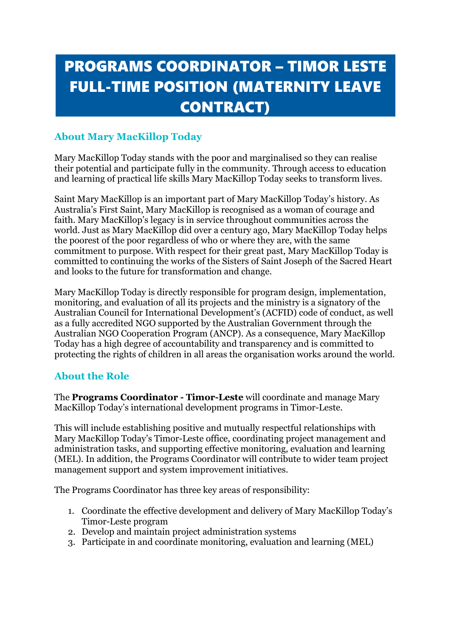# PROGRAMS COORDINATOR – TIMOR LESTE FULL-TIME POSITION (MATERNITY LEAVE CONTRACT)

# **About Mary MacKillop Today**

Mary MacKillop Today stands with the poor and marginalised so they can realise their potential and participate fully in the community. Through access to education and learning of practical life skills Mary MacKillop Today seeks to transform lives.

Saint Mary MacKillop is an important part of Mary MacKillop Today's history. As Australia's First Saint, Mary MacKillop is recognised as a woman of courage and faith. Mary MacKillop's legacy is in service throughout communities across the world. Just as Mary MacKillop did over a century ago, Mary MacKillop Today helps the poorest of the poor regardless of who or where they are, with the same commitment to purpose. With respect for their great past, Mary MacKillop Today is committed to continuing the works of the Sisters of Saint Joseph of the Sacred Heart and looks to the future for transformation and change.

Mary MacKillop Today is directly responsible for program design, implementation, monitoring, and evaluation of all its projects and the ministry is a signatory of the Australian Council for International Development's (ACFID) code of conduct, as well as a fully accredited NGO supported by the Australian Government through the Australian NGO Cooperation Program (ANCP). As a consequence, Mary MacKillop Today has a high degree of accountability and transparency and is committed to protecting the rights of children in all areas the organisation works around the world.

## **About the Role**

The **Programs Coordinator - Timor-Leste** will coordinate and manage Mary MacKillop Today's international development programs in Timor-Leste.

This will include establishing positive and mutually respectful relationships with Mary MacKillop Today's Timor-Leste office, coordinating project management and administration tasks, and supporting effective monitoring, evaluation and learning (MEL). In addition, the Programs Coordinator will contribute to wider team project management support and system improvement initiatives.

The Programs Coordinator has three key areas of responsibility:

- 1. Coordinate the effective development and delivery of Mary MacKillop Today's Timor-Leste program
- 2. Develop and maintain project administration systems
- 3. Participate in and coordinate monitoring, evaluation and learning (MEL)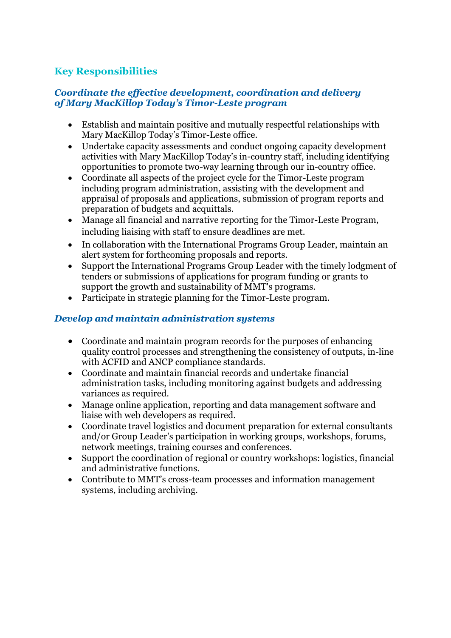# **Key Responsibilities**

#### *Coordinate the effective development, coordination and delivery of Mary MacKillop Today's Timor-Leste program*

- Establish and maintain positive and mutually respectful relationships with Mary MacKillop Today's Timor-Leste office.
- Undertake capacity assessments and conduct ongoing capacity development activities with Mary MacKillop Today's in-country staff, including identifying opportunities to promote two-way learning through our in-country office.
- Coordinate all aspects of the project cycle for the Timor-Leste program including program administration, assisting with the development and appraisal of proposals and applications, submission of program reports and preparation of budgets and acquittals.
- Manage all financial and narrative reporting for the Timor-Leste Program, including liaising with staff to ensure deadlines are met.
- In collaboration with the International Programs Group Leader, maintain an alert system for forthcoming proposals and reports.
- Support the International Programs Group Leader with the timely lodgment of tenders or submissions of applications for program funding or grants to support the growth and sustainability of MMT's programs.
- Participate in strategic planning for the Timor-Leste program.

#### *Develop and maintain administration systems*

- Coordinate and maintain program records for the purposes of enhancing quality control processes and strengthening the consistency of outputs, in-line with ACFID and ANCP compliance standards.
- Coordinate and maintain financial records and undertake financial administration tasks, including monitoring against budgets and addressing variances as required.
- Manage online application, reporting and data management software and liaise with web developers as required.
- Coordinate travel logistics and document preparation for external consultants and/or Group Leader's participation in working groups, workshops, forums, network meetings, training courses and conferences.
- Support the coordination of regional or country workshops: logistics, financial and administrative functions.
- Contribute to MMT's cross-team processes and information management systems, including archiving.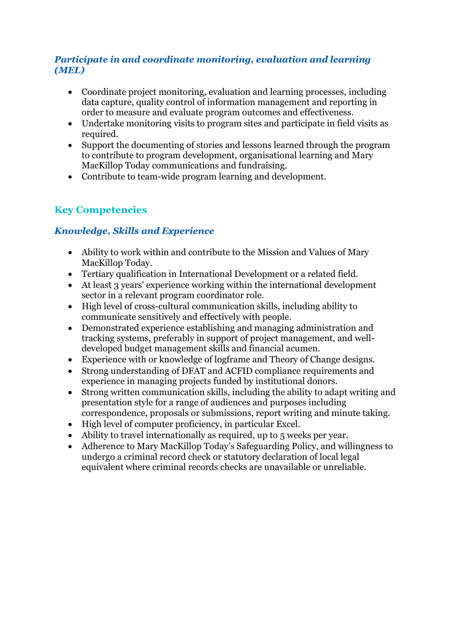#### *Participate in and coordinate monitoring, evaluation and learning (MEL)*

- Coordinate project monitoring, evaluation and learning processes, including data capture, quality control of information management and reporting in order to measure and evaluate program outcomes and effectiveness.
- Undertake monitoring visits to program sites and participate in field visits as required.
- Support the documenting of stories and lessons learned through the program to contribute to program development, organisational learning and Mary MacKillop Today communications and fundraising.
- Contribute to team-wide program learning and development.

# **Key Competencies**

### *Knowledge, Skills and Experience*

- Ability to work within and contribute to the Mission and Values of Mary MacKillop Today.
- Tertiary qualification in International Development or a related field.
- At least 3 years' experience working within the international development sector in a relevant program coordinator role.
- High level of cross-cultural communication skills, including ability to communicate sensitively and effectively with people.
- Demonstrated experience establishing and managing administration and tracking systems, preferably in support of project management, and welldeveloped budget management skills and financial acumen.
- Experience with or knowledge of logframe and Theory of Change designs.
- Strong understanding of DFAT and ACFID compliance requirements and experience in managing projects funded by institutional donors.
- Strong written communication skills, including the ability to adapt writing and presentation style for a range of audiences and purposes including correspondence, proposals or submissions, report writing and minute taking.
- High level of computer proficiency, in particular Excel.
- Ability to travel internationally as required, up to 5 weeks per year.
- Adherence to Mary MacKillop Today's Safeguarding Policy, and willingness to undergo a criminal record check or statutory declaration of local legal equivalent where criminal records checks are unavailable or unreliable.